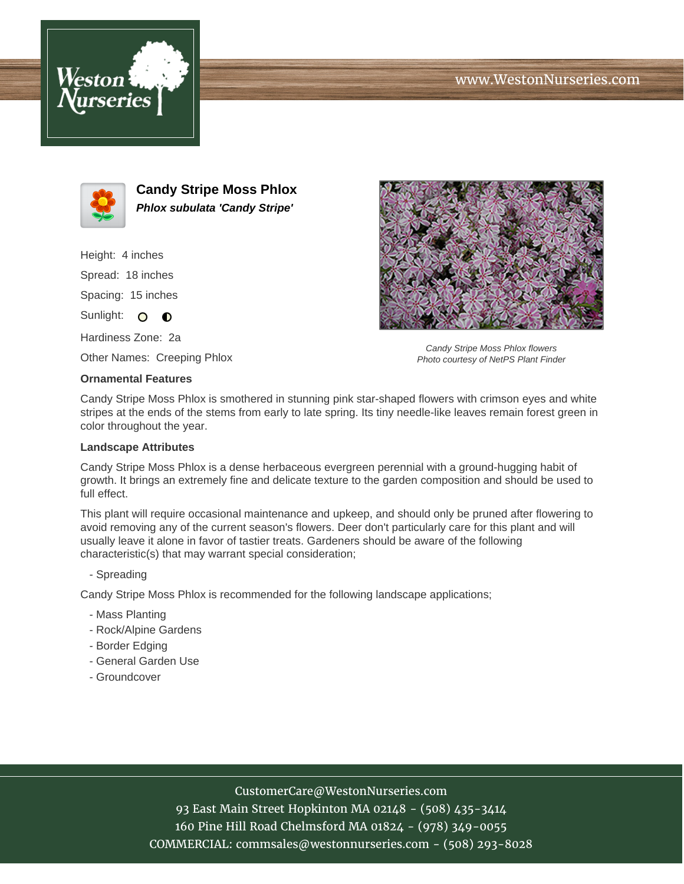





**Candy Stripe Moss Phlox Phlox subulata 'Candy Stripe'**

Height: 4 inches

Spread: 18 inches

Spacing: 15 inches

Sunlight: O O

Hardiness Zone: 2a

Other Names: Creeping Phlox

## **Ornamental Features**

Candy Stripe Moss Phlox flowers Photo courtesy of NetPS Plant Finder

Candy Stripe Moss Phlox is smothered in stunning pink star-shaped flowers with crimson eyes and white stripes at the ends of the stems from early to late spring. Its tiny needle-like leaves remain forest green in color throughout the year.

## **Landscape Attributes**

Candy Stripe Moss Phlox is a dense herbaceous evergreen perennial with a ground-hugging habit of growth. It brings an extremely fine and delicate texture to the garden composition and should be used to full effect.

This plant will require occasional maintenance and upkeep, and should only be pruned after flowering to avoid removing any of the current season's flowers. Deer don't particularly care for this plant and will usually leave it alone in favor of tastier treats. Gardeners should be aware of the following characteristic(s) that may warrant special consideration;

- Spreading

Candy Stripe Moss Phlox is recommended for the following landscape applications;

- Mass Planting
- Rock/Alpine Gardens
- Border Edging
- General Garden Use
- Groundcover

## CustomerCare@WestonNurseries.com

93 East Main Street Hopkinton MA 02148 - (508) 435-3414 160 Pine Hill Road Chelmsford MA 01824 - (978) 349-0055 COMMERCIAL: commsales@westonnurseries.com - (508) 293-8028